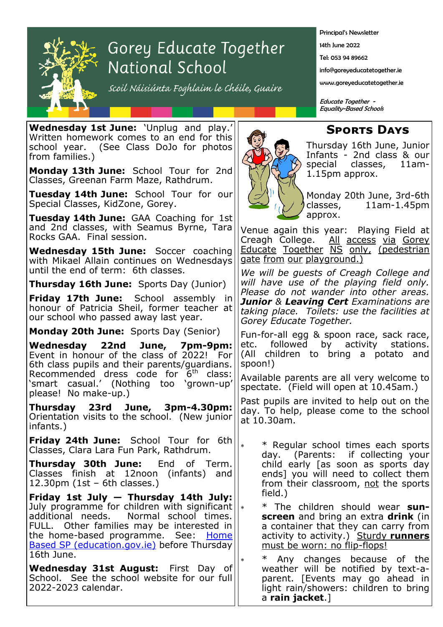

## Gorey Educate Together National School

scoil Náisiúnta Foghlaim le Chéile, Guaire

Principal's Newsletter

14th June 2022

Tel: 053 94 89662

info@goreyeducatetogether.ie

www.goreyeducatetogether.ie

Educate Together - Equality-Based Schools

## **Sports Days**

**Wednesday 1st June:** 'Unplug and play.' Written homework comes to an end for this school year. (See Class DoJo for photos from families.)

**Monday 13th June:** School Tour for 2nd Classes, Greenan Farm Maze, Rathdrum.

**Tuesday 14th June:** School Tour for our Special Classes, KidZone, Gorey.

**Tuesday 14th June:** GAA Coaching for 1st and 2nd classes, with Seamus Byrne, Tara Rocks GAA. Final session.

**Wednesday 15th June:** Soccer coaching with Mikael Allain continues on Wednesdays until the end of term: 6th classes.

**Thursday 16th June:** Sports Day (Junior)

**Friday 17th June:** School assembly in honour of Patricia Sheil, former teacher at our school who passed away last year.

**Monday 20th June:** Sports Day (Senior)

**Wednesday 22nd June, 7pm-9pm:**  Event in honour of the class of 2022! For 6th class pupils and their parents/guardians. Recommended dress code for  $6<sup>th</sup>$  class: 'smart casual.' (Nothing too 'grown-up' please! No make-up.)

**Thursday 23rd June, 3pm-4.30pm:**  Orientation visits to the school. (New junior infants.)

**Friday 24th June:** School Tour for 6th Classes, Clara Lara Fun Park, Rathdrum.

**Thursday 30th June:** End of Term. Classes finish at 12noon (infants) and 12.30pm (1st – 6th classes.)

**Friday 1st July — Thursday 14th July:**  July programme for children with significant  $||_*$ additional needs. Normal school times. FULL. Other families may be interested in the home-based programme. See: Home **[Based SP \(education.gov.ie\)](https://dessurveys.education.gov.ie/surveys/home-based-summer-programme)** before Thursday 16th June.

**Wednesday 31st August:** First Day of School. See the school website for our full 2022-2023 calendar.



Thursday 16th June, Junior Infants - 2nd class & our special classes, 11am-1.15pm approx.

Monday 20th June, 3rd-6th classes, 11am-1.45pm approx.

Venue again this year: Playing Field at Creagh College. All access via Gorey Educate Together NS only, (pedestrian gate from our playground.)

*We will be guests of Creagh College and will have use of the playing field only. Please do not wander into other areas. Junior & Leaving Cert Examinations are taking place. Toilets: use the facilities at Gorey Educate Together.*

Fun-for-all egg & spoon race, sack race, etc. followed by activity stations. (All children to bring a potato and spoon!)

Available parents are all very welcome to spectate. (Field will open at 10.45am.)

Past pupils are invited to help out on the day. To help, please come to the school at 10.30am.

 \* Regular school times each sports day. (Parents: if collecting your child early [as soon as sports day ends] you will need to collect them from their classroom, not the sports field.)

 \* The children should wear **sunscreen** and bring an extra **drink** (in a container that they can carry from activity to activity.) Sturdy **runners**  must be worn: no flip-flops!

Any changes because of the weather will be notified by text-aparent. [Events may go ahead in light rain/showers: children to bring a **rain jacket**.]